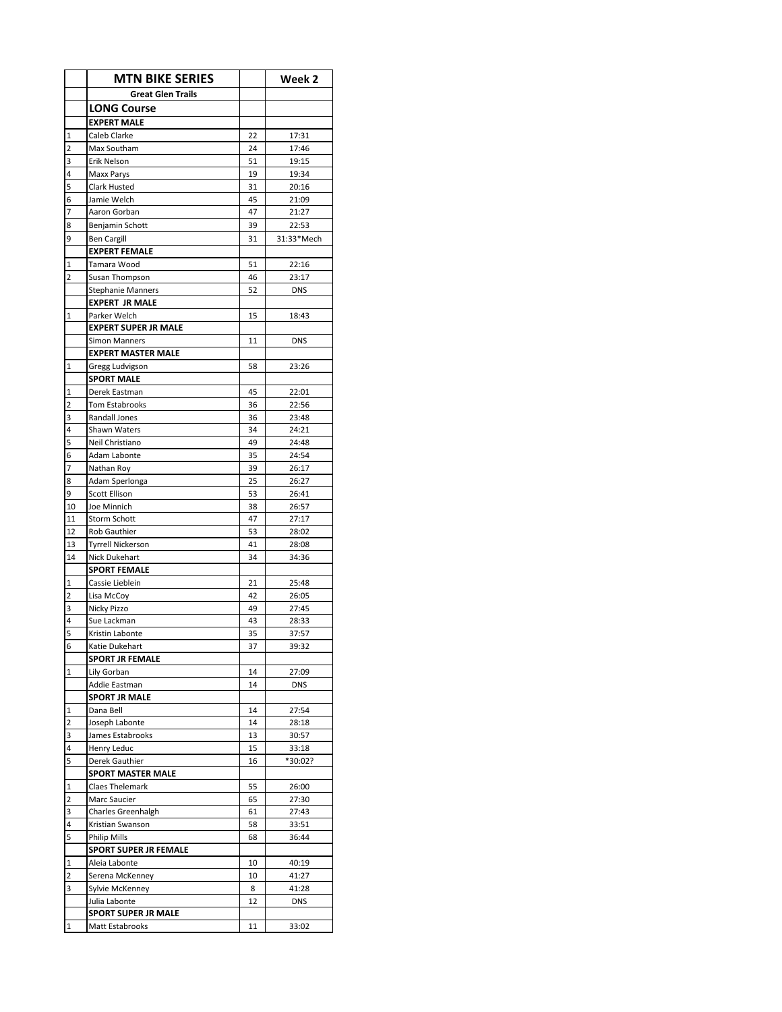|                | <b>MTN BIKE SERIES</b>       |    | Week 2     |
|----------------|------------------------------|----|------------|
|                | <b>Great Glen Trails</b>     |    |            |
|                | <b>LONG Course</b>           |    |            |
|                | <b>EXPERT MALE</b>           |    |            |
| 1              | Caleb Clarke                 | 22 | 17:31      |
| 2              | Max Southam                  | 24 | 17:46      |
| 3              | Erik Nelson                  | 51 | 19:15      |
| 4              | Maxx Parys                   | 19 | 19:34      |
| 5              | Clark Husted                 | 31 | 20:16      |
| 6              | Jamie Welch                  | 45 | 21:09      |
| 7              | Aaron Gorban                 | 47 | 21:27      |
| 8              | Benjamin Schott              | 39 | 22:53      |
| 9              | <b>Ben Cargill</b>           | 31 | 31:33*Mech |
|                | <b>EXPERT FEMALE</b>         |    |            |
| 1              | Tamara Wood                  | 51 | 22:16      |
| $\overline{2}$ | Susan Thompson               | 46 | 23:17      |
|                | <b>Stephanie Manners</b>     | 52 | <b>DNS</b> |
|                | <b>EXPERT JR MALE</b>        |    |            |
| 1              | Parker Welch                 | 15 | 18:43      |
|                | <b>EXPERT SUPER JR MALE</b>  |    |            |
|                | Simon Manners                | 11 | <b>DNS</b> |
|                | <b>EXPERT MASTER MALE</b>    |    |            |
| 1              | Gregg Ludvigson              | 58 | 23:26      |
|                | <b>SPORT MALE</b>            |    |            |
| 1              | Derek Eastman                | 45 | 22:01      |
| 2              | <b>Tom Estabrooks</b>        | 36 | 22:56      |
| 3              | Randall Jones                | 36 | 23:48      |
| 4              | Shawn Waters                 | 34 | 24:21      |
| 5              | Neil Christiano              | 49 | 24:48      |
| 6              | Adam Labonte                 | 35 | 24:54      |
| 7              | Nathan Roy                   | 39 | 26:17      |
| 8              | Adam Sperlonga               | 25 | 26:27      |
| 9              | Scott Ellison                | 53 | 26:41      |
| 10             | Joe Minnich                  | 38 | 26:57      |
| 11             | Storm Schott                 | 47 | 27:17      |
| 12             | Rob Gauthier                 | 53 | 28:02      |
| 13             | <b>Tyrrell Nickerson</b>     | 41 | 28:08      |
| 14             | <b>Nick Dukehart</b>         | 34 | 34:36      |
|                | <b>SPORT FEMALE</b>          |    |            |
| 1              | Cassie Lieblein              | 21 | 25:48      |
| 2              | Lisa McCoy                   | 42 | 26:05      |
| 3              | Nicky Pizzo                  | 49 | 27:45      |
| 4              | Sue Lackman                  | 43 | 28:33      |
| 5              | Kristin Labonte              | 35 | 37:57      |
| 6              | Katie Dukehart               | 37 | 39:32      |
|                | <b>SPORT JR FEMALE</b>       |    |            |
| 1              | Lily Gorban                  | 14 | 27:09      |
|                | Addie Eastman                | 14 | <b>DNS</b> |
|                | <b>SPORT JR MALE</b>         |    |            |
| 1              | Dana Bell                    | 14 | 27:54      |
| 2              | Joseph Labonte               | 14 | 28:18      |
| 3              | James Estabrooks             | 13 | 30:57      |
| 4              | Henry Leduc                  | 15 | 33:18      |
| 5              | Derek Gauthier               | 16 | *30:02?    |
|                | <b>SPORT MASTER MALE</b>     |    |            |
| 1              | <b>Claes Thelemark</b>       | 55 | 26:00      |
| 2              | Marc Saucier                 | 65 | 27:30      |
| 3              | Charles Greenhalgh           | 61 | 27:43      |
| 4              | Kristian Swanson             | 58 | 33:51      |
| 5              | Philip Mills                 | 68 | 36:44      |
|                | <b>SPORT SUPER JR FEMALE</b> |    |            |
| 1              | Aleia Labonte                | 10 | 40:19      |
| 2              | Serena McKenney              | 10 | 41:27      |
| 3              | Sylvie McKenney              | 8  | 41:28      |
|                | Julia Labonte                | 12 | <b>DNS</b> |
|                | <b>SPORT SUPER JR MALE</b>   |    |            |
| 1              | Matt Estabrooks              | 11 | 33:02      |
|                |                              |    |            |